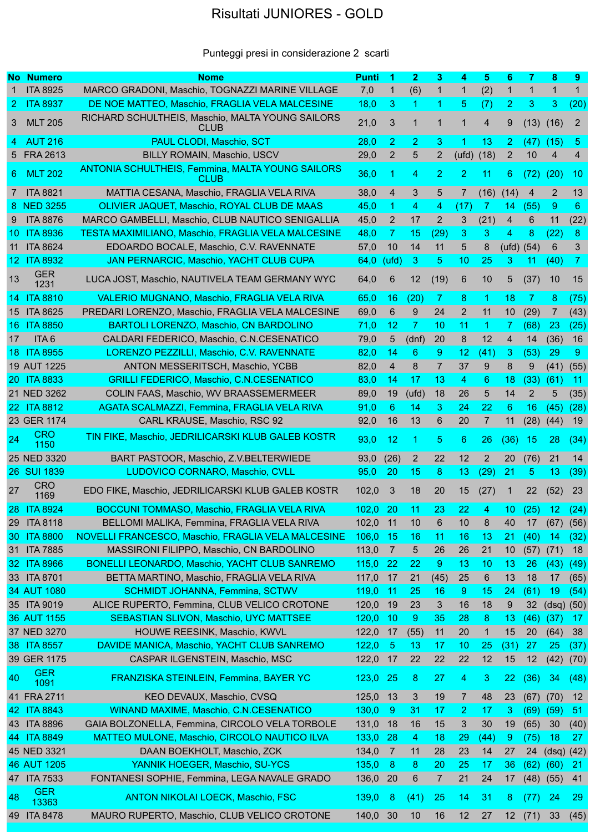## Risultati JUNIORES - GOLD

## Punteggi presi in considerazione 2 scarti

|                 | <b>No Numero</b>    | <b>Nome</b>                                                                 | <b>Punti</b> | 1               | $\overline{2}$ | 3              | 4              | 5              | 6               | 7              | 8             | 9              |
|-----------------|---------------------|-----------------------------------------------------------------------------|--------------|-----------------|----------------|----------------|----------------|----------------|-----------------|----------------|---------------|----------------|
|                 | <b>ITA 8925</b>     | MARCO GRADONI, Maschio, TOGNAZZI MARINE VILLAGE                             | 7,0          | $\mathbf 1$     | (6)            | $\mathbf{1}$   | $\mathbf{1}$   | (2)            | $\mathbf{1}$    | $\mathbf{1}$   | $\mathbf{1}$  | $\mathbf{1}$   |
|                 | <b>ITA 8937</b>     | DE NOE MATTEO, Maschio, FRAGLIA VELA MALCESINE                              |              | 3               | 1.             | 1              | 5 <sup>5</sup> |                | $\overline{2}$  | 3              | 3             |                |
| $2 -$           |                     |                                                                             | 18,0         |                 |                |                |                | (7)            |                 |                |               | (20)           |
| 3.              | <b>MLT 205</b>      | RICHARD SCHULTHEIS, Maschio, MALTA YOUNG SAILORS<br><b>CLUB</b>             | 21,0         | 3               | 1              | $\mathbf 1$    | $\mathbf{1}$   | $\overline{4}$ | 9               |                | $(13)$ $(16)$ | $\overline{2}$ |
| 4               | <b>AUT 216</b>      | <b>PAUL CLODI, Maschio, SCT</b>                                             | 28,0         | $\overline{2}$  | $\overline{2}$ | 3              | 1              | 13             | $\overline{2}$  | (47)           | (15)          | 5              |
|                 | 5 FRA 2613          | BILLY ROMAIN, Maschio, USCV                                                 | 29,0         | $\overline{2}$  | 5              | $\overline{2}$ | (ufd)          | (18)           | $\overline{2}$  | 10             | 4             | 4              |
| 6.              | <b>MLT 202</b>      | <b>ANTONIA SCHULTHEIS, Femmina, MALTA YOUNG SAILORS</b><br>CLUB <sub></sub> | 36,0         | 1               | 4              | $\overline{2}$ | 2              | 11             | 6               | (72)           | (20)          | 10             |
| $7^{\circ}$     | <b>ITA 8821</b>     | MATTIA CESANA, Maschio, FRAGLIA VELA RIVA                                   | 38,0         | 4               | 3              | 5              | 7              | (16)           | (14)            | 4              | 2             | 13             |
|                 | 8 NED 3255          | OLIVIER JAQUET, Maschio, ROYAL CLUB DE MAAS                                 | 45,0         | 1               | 4              | 4              | (17)           | 7              | 14              | (55)           | 9             | 6              |
| 9               | <b>ITA 8876</b>     | MARCO GAMBELLI, Maschio, CLUB NAUTICO SENIGALLIA                            | 45,0         | $\mathbf{2}$    | 17             | $\overline{2}$ | 3              | (21)           | 4               | 6              | 11            | (22)           |
| 10.             | <b>ITA 8936</b>     | <b>TESTA MAXIMILIANO, Maschio, FRAGLIA VELA MALCESINE</b>                   | 48,0         | 7               | 15             | (29)           | 3              | 3              | 4               | 8              | (22)          | 8              |
| 11              | <b>ITA 8624</b>     | EDOARDO BOCALE, Maschio, C.V. RAVENNATE                                     | 57,0         | 10              | 14             | 11             | 5              | 8              | (ufd)           | (54)           | 6             | 3              |
| 12.             | <b>ITA 8932</b>     | <b>JAN PERNARCIC, Maschio, YACHT CLUB CUPA</b>                              | 64,0         | (ufd)           | 3              | 5              | 10             | 25             | 3               | 11             | (40)          | 7              |
| 13              | <b>GER</b>          | LUCA JOST, Maschio, NAUTIVELA TEAM GERMANY WYC                              | 64,0         | $6\phantom{1}6$ | 12             | (19)           | 6              | 10             | 5               | (37)           | 10            | 15             |
|                 | 1231                |                                                                             |              |                 |                |                |                |                |                 |                |               |                |
|                 | 14 ITA 8810         | <b>VALERIO MUGNANO, Maschio, FRAGLIA VELA RIVA</b>                          | 65,0         | 16              | (20)           | 7              | 8              | 1              | 18              | 7              | 8             | (75)           |
| 15              | <b>ITA 8625</b>     | PREDARI LORENZO, Maschio, FRAGLIA VELA MALCESINE                            | 69,0         | 6               | 9              | 24             | $\overline{2}$ | 11             | 10              | (29)           | 7             | (43)           |
| 16.             | <b>ITA 8850</b>     | BARTOLI LORENZO, Maschio, CN BARDOLINO                                      | 71,0         | 12              | $\mathbf{7}$   | 10             | 11             | -1             | 7               | (68)           | 23            | (25)           |
| 17              | ITA <sub>6</sub>    | CALDARI FEDERICO, Maschio, C.N.CESENATICO                                   | 79,0         | 5               | (dnf)          | 20             | 8              | 12             | 4               | 14             | (36)          | 16             |
| 18.             | <b>ITA 8955</b>     | LORENZO PEZZILLI, Maschio, C.V. RAVENNATE                                   | 82,0         | 14              | 6              | 9              | 12             | (41)           | 3               | (53)           | 29            | 9              |
|                 | 19 AUT 1225         | ANTON MESSERITSCH, Maschio, YCBB                                            | 82,0         | 4               | 8              | $\overline{7}$ | 37             | 9              | 8               | 9              | (41)          | (55)           |
|                 | 20 ITA 8833         | <b>GRILLI FEDERICO, Maschio, C.N.CESENATICO</b>                             | 83,0         | 14              | 17             | 13             | 4              | 6              | 18              | (33)           | (61)          | 11             |
|                 | 21 NED 3262         | COLIN FAAS, Maschio, WV BRAASSEMERMEER                                      | 89,0         | 19              | (ufd)          | 18             | 26             | 5              | 14              | $\overline{2}$ | 5             | (35)           |
|                 | 22 ITA 8812         | <b>AGATA SCALMAZZI, Femmina, FRAGLIA VELA RIVA</b>                          | 91,0         | 6               | 14             | 3              | 24             | 22             | 6               | 16             | (45)          | (28)           |
|                 | 23 GER 1174         | CARL KRAUSE, Maschio, RSC 92                                                | 92,0         | 16              | 13             | 6              | 20             | $\overline{7}$ | 11              | (28)           | (44)          | 19             |
| 24              | <b>CRO</b><br>1150  | TIN FIKE, Maschio, JEDRILICARSKI KLUB GALEB KOSTR                           | 93,0         | 12              | 1              | 5              | 6              | 26             | (36)            | 15             | 28            | (34)           |
|                 | 25 NED 3320         | BART PASTOOR, Maschio, Z.V.BELTERWIEDE                                      | 93,0         | (26)            | 2              | 22             | 12             | 2              | 20              | (76)           | 21            | 14             |
|                 | 26 SUI 1839         | LUDOVICO CORNARO, Maschio, CVLL                                             | 95,0         | 20              | 15             | 8              | 13             | (29)           | 21              | 5              | 13            | (39)           |
| 27              | <b>CRO</b><br>1169  | EDO FIKE, Maschio, JEDRILICARSKI KLUB GALEB KOSTR                           | 102,0        | 3               | 18             | 20             | 15             | (27)           | 1               | 22             | (52)          | 23             |
|                 | 28 ITA 8924         | <b>BOCCUNI TOMMASO, Maschio, FRAGLIA VELA RIVA</b>                          | 102,0        | 20              | 11             | 23             | 22             | 4              | 10              | (25)           | 12            | (24)           |
| <b>29</b>       | <b>ITA 8118</b>     | BELLOMI MALIKA, Femmina, FRAGLIA VELA RIVA                                  | 102,0        | 11              | 10             | 6              | 10             | 8              | 40              | 17             | (67)          | (56)           |
| <b>30</b>       | <b>ITA 8800</b>     | NOVELLI FRANCESCO, Maschio, FRAGLIA VELA MALCESINE                          | 106,0        | -15             | 16             | 11             | 16             | 13             | 21              | (40)           | -14           | (32)           |
| 31              | <b>ITA 7885</b>     | MASSIRONI FILIPPO, Maschio, CN BARDOLINO                                    | 113,0        | $\overline{7}$  |                |                | 26             | 21             |                 |                | (71)          | 18             |
| 32 <sub>1</sub> | <b>ITA 8966</b>     |                                                                             |              |                 | 5              | 26             |                |                | 10              | (57)           |               |                |
|                 |                     | <b>BONELLI LEONARDO, Maschio, YACHT CLUB SANREMO</b>                        | 115,0        | 22              | 22             | 9              | 13             | 10             | 13              | 26             | (43)          | (49)           |
|                 | 33 ITA 8701         | BETTA MARTINO, Maschio, FRAGLIA VELA RIVA                                   | 117,0        | 17              | 21             | (45)           | 25             | 6              | 13              | 18             | 17            | (65)           |
|                 | 34 AUT 1080         | <b>SCHMIDT JOHANNA, Femmina, SCTWV</b>                                      | 119,0        | 11              | 25             | 16             | 9              | 15             | 24              | (61)           | 19            | (54)           |
|                 | 35 ITA 9019         | ALICE RUPERTO, Femmina, CLUB VELICO CROTONE                                 | 120,0        | 19              | 23             | 3              | 16             | 18             | 9               | 32             | (dsq)         | (50)           |
|                 | 36 AUT 1155         | <b>SEBASTIAN SLIVON, Maschio, UYC MATTSEE</b>                               | 120,0        | 10              | $9^{\circ}$    | 35             | 28             | 8              | 13              | (46)           | (37)          | 17             |
|                 | 37 NED 3270         | HOUWE REESINK, Maschio, KWVL                                                | 122,0        | 17              | (55)           | 11             | 20             | 1              | 15              | 20             | (64)          | 38             |
|                 | 38 ITA 8557         | DAVIDE MANICA, Maschio, YACHT CLUB SANREMO                                  | 122,0        | 5               | 13             | 17             | 10             | 25             | (31)            | 27             | 25            | (37)           |
|                 | 39 GER 1175         | CASPAR ILGENSTEIN, Maschio, MSC                                             | 122,0        | 17              | 22             | 22             | 22             | 12             | 15              | 12             | (42)          | (70)           |
| 40              | <b>GER</b><br>1091  | FRANZISKA STEINLEIN, Femmina, BAYER YC                                      | 123,0        | 25              | 8              | 27             | 4              | 3              | 22              | (36)           | 34            | (48)           |
|                 | 41 FRA 2711         | KEO DEVAUX, Maschio, CVSQ                                                   | 125,0        | 13              | 3              | 19             | $\overline{7}$ | 48             | 23              | (67)           | (70)          | 12             |
|                 | 42 ITA 8843         | <b>WINAND MAXIME, Maschio, C.N.CESENATICO</b>                               | 130,0        | 9               | -31            | 17             | 2              | 17             | 3               | (69)           | (59)          | -51            |
|                 | 43 ITA 8896         | GAIA BOLZONELLA, Femmina, CIRCOLO VELA TORBOLE                              | 131,0        | 18              | 16             | 15             | 3              | 30             | 19              | (65)           | 30            | (40)           |
| 44.             | <b>ITA 8849</b>     | <b>MATTEO MULONE, Maschio, CIRCOLO NAUTICO ILVA</b>                         | 133,0        | 28              | 4              | 18             | 29             | (44)           | 9               | (75)           | 18            | 27             |
|                 | 45 NED 3321         | DAAN BOEKHOLT, Maschio, ZCK                                                 | 134,0        | 7               | 11             | 28             | 23             | 14             | 27              | 24             | (dsq)         | (42)           |
|                 | 46 AUT 1205         | YANNIK HOEGER, Maschio, SU-YCS                                              | 135,0        | 8               | 8              | 20             | 25             | 17             | 36              | (62)           | (60)          | 21             |
|                 | 47 ITA 7533         | FONTANESI SOPHIE, Femmina, LEGA NAVALE GRADO                                | 136,0        | 20              | 6              | 7              | 21             | 24             | 17              | (48)           | (55)          | 41             |
| 48              | <b>GER</b><br>13363 | <b>ANTON NIKOLAI LOECK, Maschio, FSC</b>                                    | 139,0        | 8               | (41)           | 25             | 14             | 31             | 8               | (77)           | 24            | 29             |
| 49              | <b>ITA 8478</b>     | MAURO RUPERTO, Maschio, CLUB VELICO CROTONE                                 | 140,0        | 30              | 10             | 16             | 12             | 27             | 12 <sub>2</sub> | (71)           | 33            | (45)           |
|                 |                     |                                                                             |              |                 |                |                |                |                |                 |                |               |                |